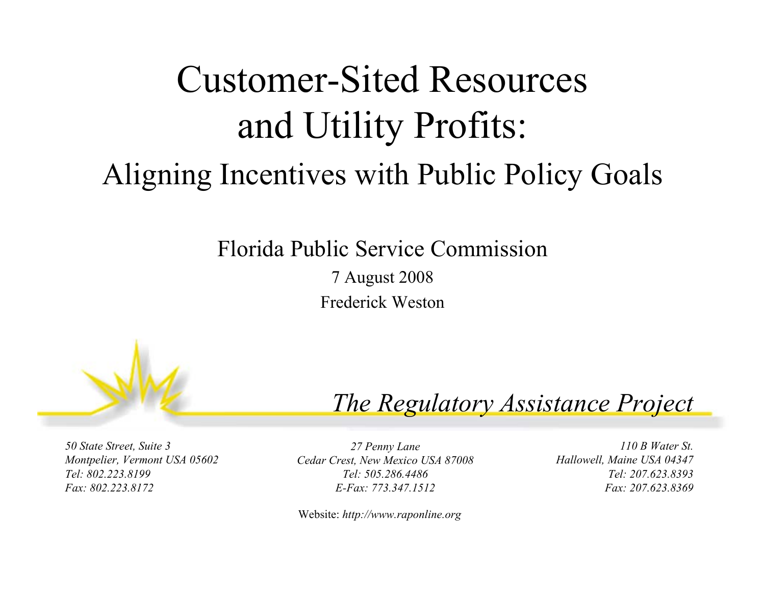### Customer-Sited Resources and Utility Profits: Aligning Incentives with Public Policy Goals

#### Florida Public Service Commission

7 August 2008 Frederick Weston



#### *The Regulatory Assistance Project*

*50 State Street, Suite 3 Montpelier, Vermont USA 05602 Tel: 802.223.8199Fax: 802.223.8172*

*27 Penny Lane Cedar Crest, New Mexico USA 87008 Tel: 505.286.4486E-Fax: 773.347.1512*

Website: *http://www.raponline.org*

*110 B Water St.Hallowell, Maine USA 04347 Tel: 207.623.8393Fax: 207.623.8369*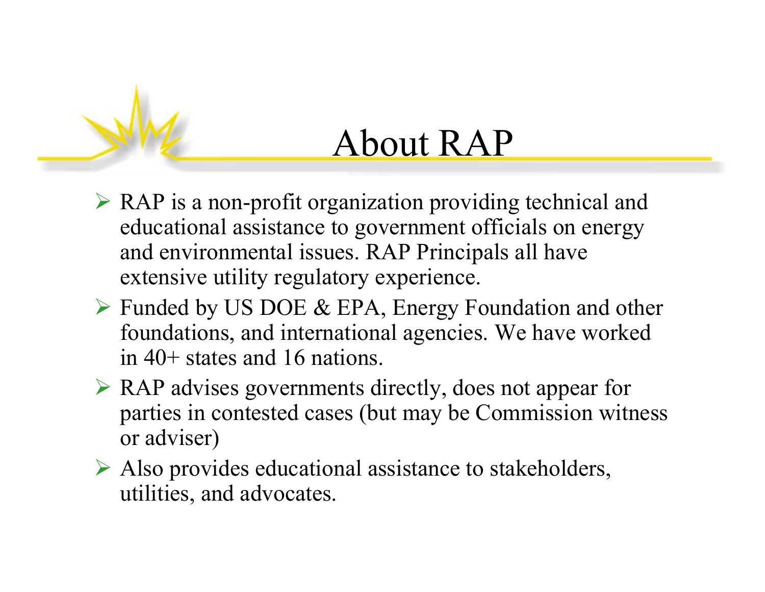### About RAP

- ¾ RAP is a non-profit organization providing technical and educational assistance to government officials on energy and environmental issues. RAP Principals all have extensive utility regulatory experience.
- ¾ Funded by US DOE & EPA, Energy Foundation and other foundations, and international agencies. We have worked in 40+ states and 16 nations.
- ¾ RAP advises governments directly, does not appear for parties in contested cases (but may be Commission witness or adviser)
- ¾ Also provides educational assistance to stakeholders, utilities, and advocates.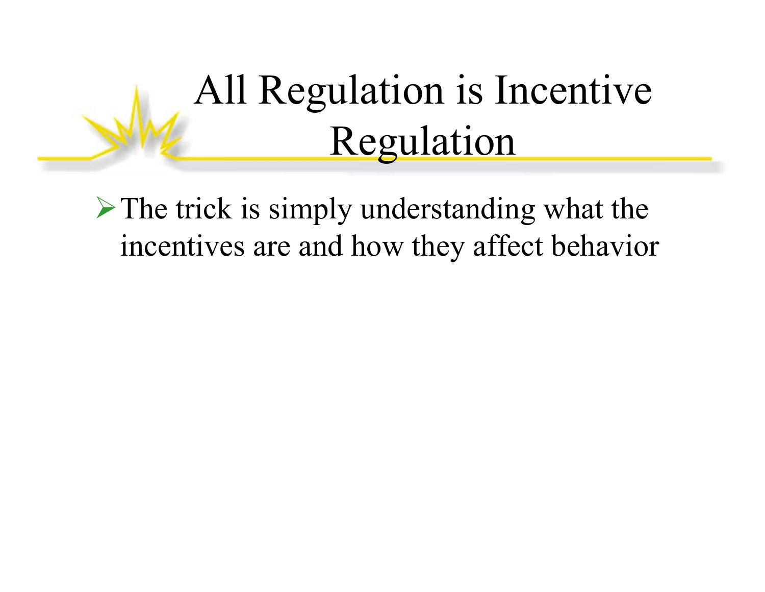## All Regulation is Incentive Regulation

 $\triangleright$  The trick is simply understanding what the incentives are and how they affect behavior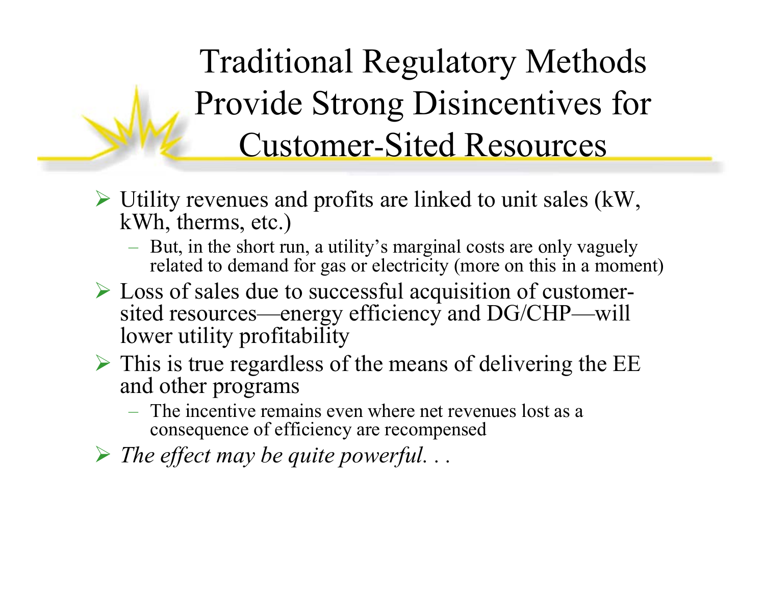Traditional Regulatory Methods Provide Strong Disincentives for Customer -Sited Resources

- $\triangleright$  Utility revenues and profits are linked to unit sales (kW, kWh, therms, etc.)
	- But, in the short run, a utility's marginal costs are only vaguely related to demand for gas or electricity (more on this in a moment)
- ¾ Loss of sales due to successful acquisition of customersited resources—energy efficiency and DG/CHP—will lower utility profitability
- $\triangleright$  This is true regardless of the means of delivering the EE and other programs
	- The incentive remains even where net revenues lost as a consequence of efficiency are recompensed
- ¾ *The effect may be quite powerful. . .*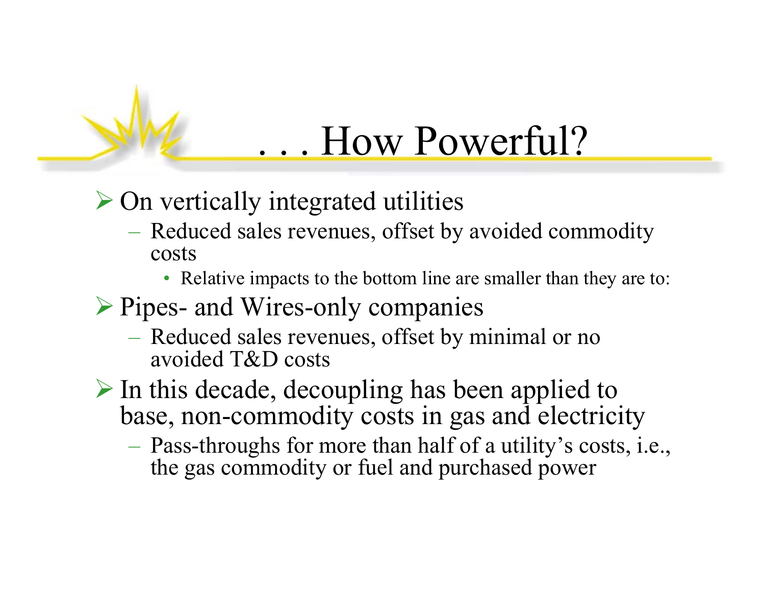### . . . How Powerful?

- $\triangleright$  On vertically integrated utilities
	- Reduced sales revenues, offset by avoided commodity costs
		- Relative impacts to the bottom line are smaller than they are to:
- ¾ Pipes- and Wires-only companies
	- Reduced sales revenues, offset by minimal or no avoided T&D costs
- ¾ In this decade, decoupling has been applied to base, non-commodity costs in gas and electricity
	- Pass-throughs for more than half of a utility's costs, i.e., the gas commodity or fuel and purchased power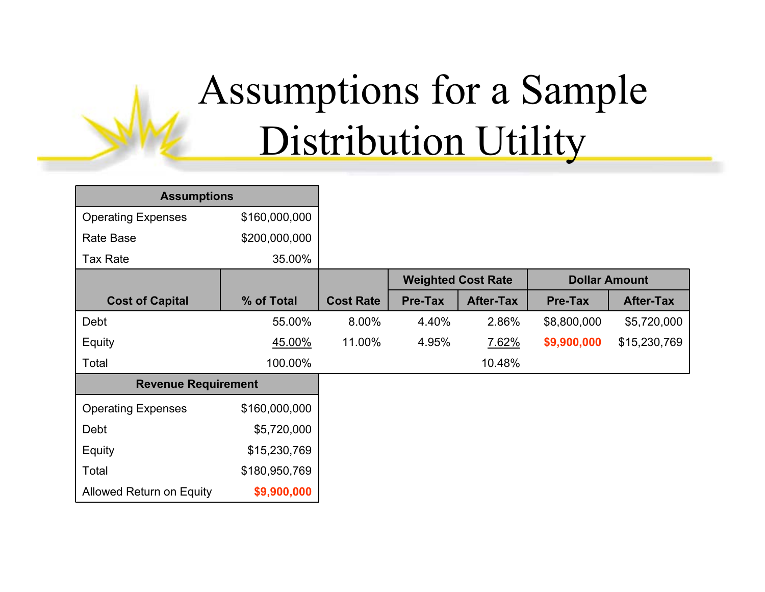## Assumptions for a Sample Distribution Utility

| <b>Assumptions</b>         |               |                  |                           |                  |                      |                  |
|----------------------------|---------------|------------------|---------------------------|------------------|----------------------|------------------|
| <b>Operating Expenses</b>  | \$160,000,000 |                  |                           |                  |                      |                  |
| Rate Base                  | \$200,000,000 |                  |                           |                  |                      |                  |
| <b>Tax Rate</b>            | 35.00%        |                  |                           |                  |                      |                  |
|                            |               |                  | <b>Weighted Cost Rate</b> |                  | <b>Dollar Amount</b> |                  |
| <b>Cost of Capital</b>     | % of Total    | <b>Cost Rate</b> | <b>Pre-Tax</b>            | <b>After-Tax</b> | <b>Pre-Tax</b>       | <b>After-Tax</b> |
| Debt                       | 55.00%        | 8.00%            | 4.40%                     | 2.86%            | \$8,800,000          | \$5,720,000      |
| Equity                     | 45.00%        | 11.00%           | 4.95%                     | 7.62%            | \$9,900,000          | \$15,230,769     |
| Total                      | 100.00%       |                  |                           | 10.48%           |                      |                  |
| <b>Revenue Requirement</b> |               |                  |                           |                  |                      |                  |
| <b>Operating Expenses</b>  | \$160,000,000 |                  |                           |                  |                      |                  |
| Debt                       | \$5,720,000   |                  |                           |                  |                      |                  |
| Equity                     | \$15,230,769  |                  |                           |                  |                      |                  |
| Total                      | \$180,950,769 |                  |                           |                  |                      |                  |
| Allowed Return on Equity   | \$9,900,000   |                  |                           |                  |                      |                  |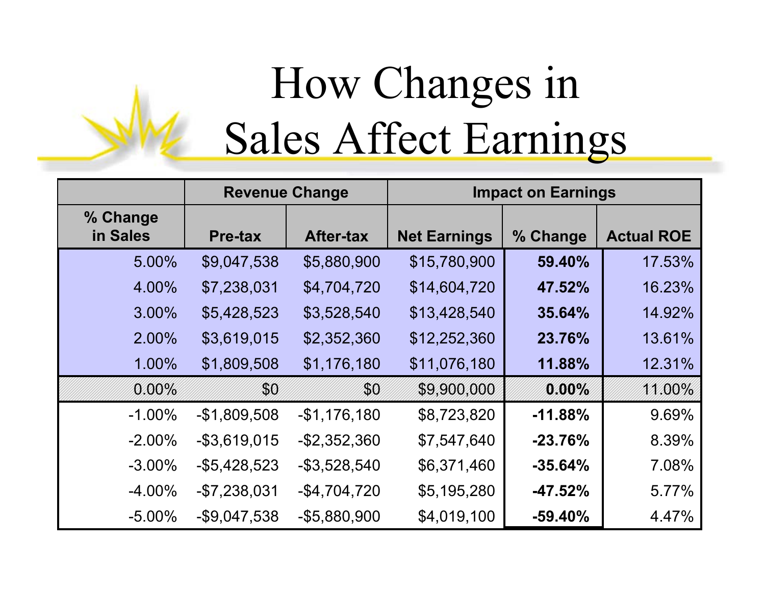# How Changes in Sales Affect Earnings

|                      | <b>Revenue Change</b> |                  | <b>Impact on Earnings</b> |           |                   |
|----------------------|-----------------------|------------------|---------------------------|-----------|-------------------|
| % Change<br>in Sales | <b>Pre-tax</b>        | <b>After-tax</b> | <b>Net Earnings</b>       | % Change  | <b>Actual ROE</b> |
| 5.00%                | \$9,047,538           | \$5,880,900      | \$15,780,900              | 59.40%    | 17.53%            |
| 4.00%                | \$7,238,031           | \$4,704,720      | \$14,604,720              | 47.52%    | 16.23%            |
| 3.00%                | \$5,428,523           | \$3,528,540      | \$13,428,540              | 35.64%    | 14.92%            |
| 2.00%                | \$3,619,015           | \$2,352,360      | \$12,252,360              | 23.76%    | 13.61%            |
| 1.00%                | \$1,809,508           | \$1,176,180      | \$11,076,180              | 11.88%    | 12.31%            |
| $0.00\%$             | \$0                   | \$0              | \$9,900,000               | 0.00%     | 11.00%            |
| $-1.00\%$            | $-$1,809,508$         | $-$1,176,180$    | \$8,723,820               | $-11.88%$ | 9.69%             |
| $-2.00\%$            | $-$ \$3,619,015       | $-$ \$2,352,360  | \$7,547,640               | $-23.76%$ | 8.39%             |
| $-3.00\%$            | $-$ \$5,428,523       | $-$ \$3,528,540  | \$6,371,460               | $-35.64%$ | 7.08%             |
| $-4.00\%$            | $-$7,238,031$         | $-$4,704,720$    | \$5,195,280               | $-47.52%$ | 5.77%             |
| $-5.00%$             | $-$9,047,538$         | $-$5,880,900$    | \$4,019,100               | $-59.40%$ | 4.47%             |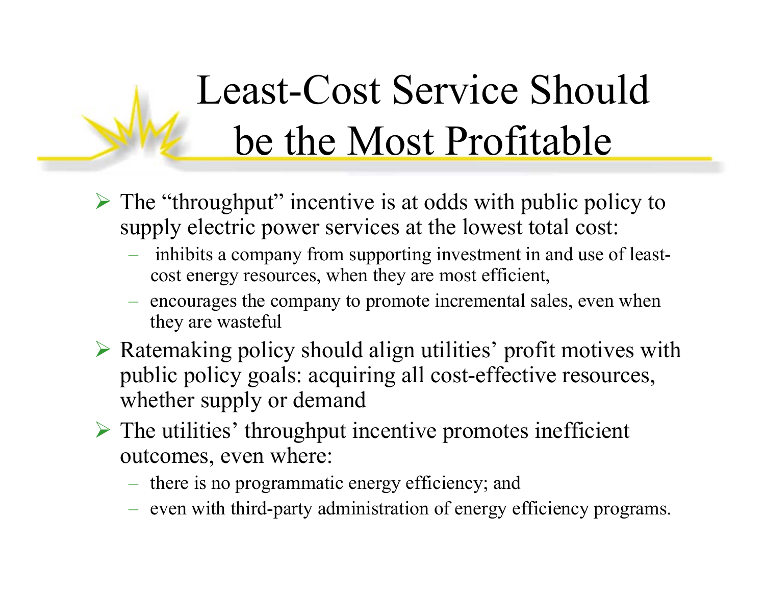## Least-Cost Service Should be the Most Profitable

- ¾ The "throughput" incentive is at odds with public policy to supply electric power services at the lowest total cost:
	- inhibits a company from supporting investment in and use of leastcost energy resources, when they are most efficient,
	- encourages the company to promote incremental sales, even when they are wasteful
- ¾ Ratemaking policy should align utilities' profit motives with public policy goals: acquiring all cost-effective resources, whether supply or demand
- $\triangleright$  The utilities' throughput incentive promotes inefficient outcomes, even where:
	- there is no programmatic energy efficiency; and
	- $-$  even with third-party administration of energy efficiency programs.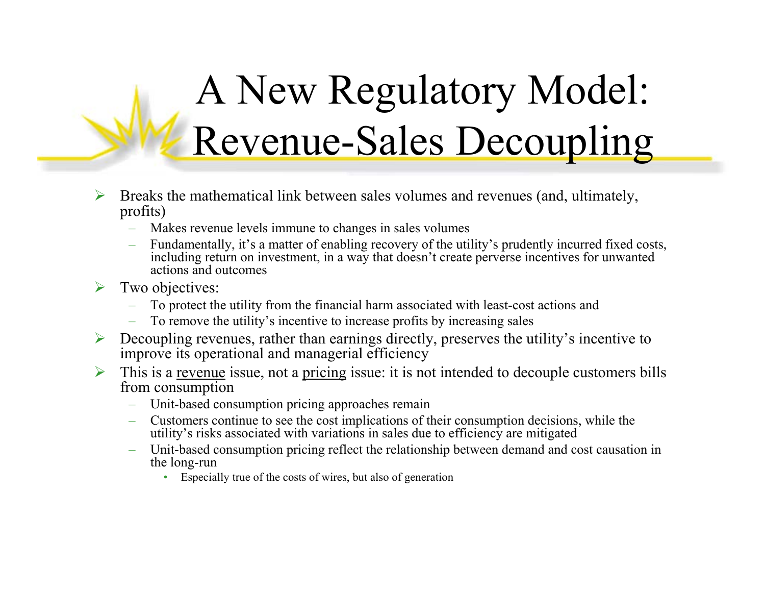## A New Regulatory Model: Revenue-Sales Decoupling

- ¾ Breaks the mathematical link between sales volumes and revenues (and, ultimately, profits)
	- $\leftarrow$ Makes revenue levels immune to changes in sales volumes
	- Fundamentally, it's a matter of enabling recovery of the utility's prudently incurred fixed costs, including return on investment, in a way that doesn't create perverse incentives for unwanted actions and outcomes
- ¾ Two objectives:
	- To protect the utility from the financial harm associated with least-cost actions and
	- To remove the utility's incentive to increase profits by increasing sales
- ¾ Decoupling revenues, rather than earnings directly, preserves the utility's incentive to improve its operational and managerial efficiency
- ¾ This is a revenue issue, not a pricing issue: it is not intended to decouple customers bills from consumption
	- Unit-based consumption pricing approaches remain
	- Customers continue to see the cost implications of their consumption decisions, while the utility's risks associated with variations in sales due to efficiency are mitigated
	- – Unit-based consumption pricing reflect the relationship between demand and cost causation in the long-run
		- •Especially true of the costs of wires, but also of generation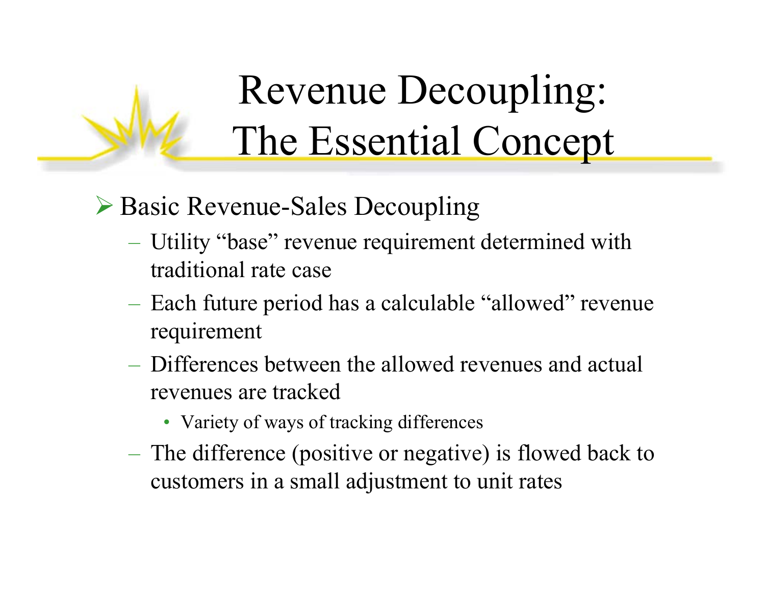## Revenue Decoupling: The Essential Concept

#### ¾ Basic Revenue-Sales Decoupling

- Utility "base" revenue requirement determined with traditional rate case
- Each future period has a calculable "allowed" revenue requirement
- Differences between the allowed revenues and actual revenues are tracked
	- Variety of ways of tracking differences
- The difference (positive or negative) is flowed back to customers in a small adjustment to unit rates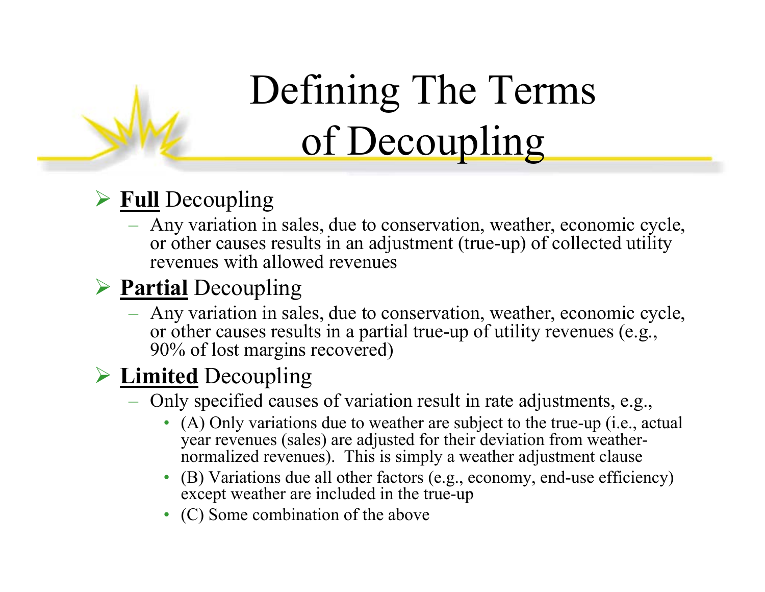## Defining The Terms of Decoupling

#### ¾ **Full** Decoupling

 Any variation in sales, due to conservation, weather, economic cycle, or other causes results in an adjustment (true-up) of collected utility revenues with allowed revenues

#### ¾ **Partial** Decoupling

 Any variation in sales, due to conservation, weather, economic cycle, or other causes results in a partial true-up of utility revenues (e.g., 90% of lost margins recovered)

#### ¾ **Limited** Decoupling

- Only specified causes of variation result in rate adjustments, e.g.,
	- (A) Only variations due to weather are subject to the true-up (i.e., actual year revenues (sales) are adjusted for their deviation from weathernormalized revenues). This is simply a weather adjustment clause
	- (B) Variations due all other factors (e.g., economy, end-use efficiency) except weather are included in the true-up
	- (C) Some combination of the above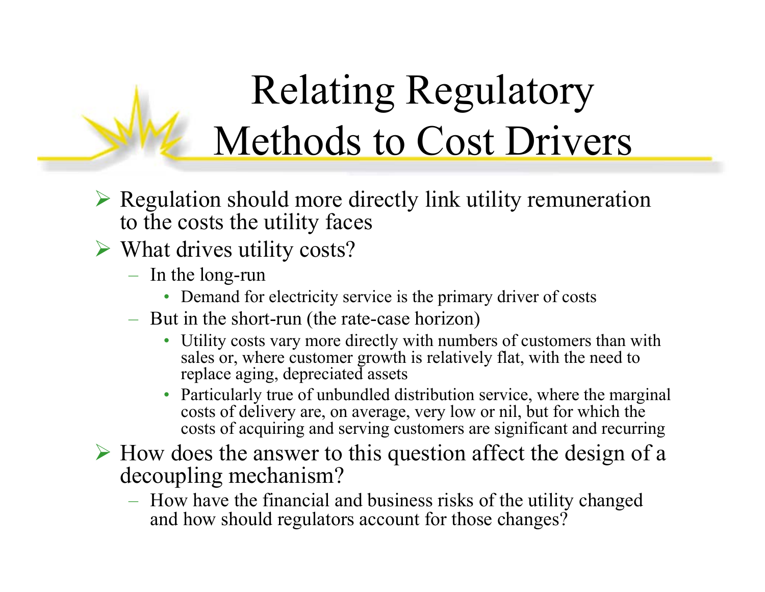## Relating Regulatory Methods to Cost Drivers

- $\triangleright$  Regulation should more directly link utility remuneration to the costs the utility faces
- ¾ What drives utility costs?
	- $-$  In the long-run
		- Demand for electricity service is the primary driver of costs
	- But in the short-run (the rate-case horizon)
		- Utility costs vary more directly with numbers of customers than with sales or, where customer growth is relatively flat, with the need to replace aging, depreciated assets
		- • Particularly true of unbundled distribution service, where the marginal costs of delivery are, on average, very low or nil, but for which the costs of acquiring and serving customers are significant and recurring
- $\triangleright$  How does the answer to this question affect the design of a decoupling mechanism?
	- How have the financial and business risks of the utility changed and how should regulators account for those changes?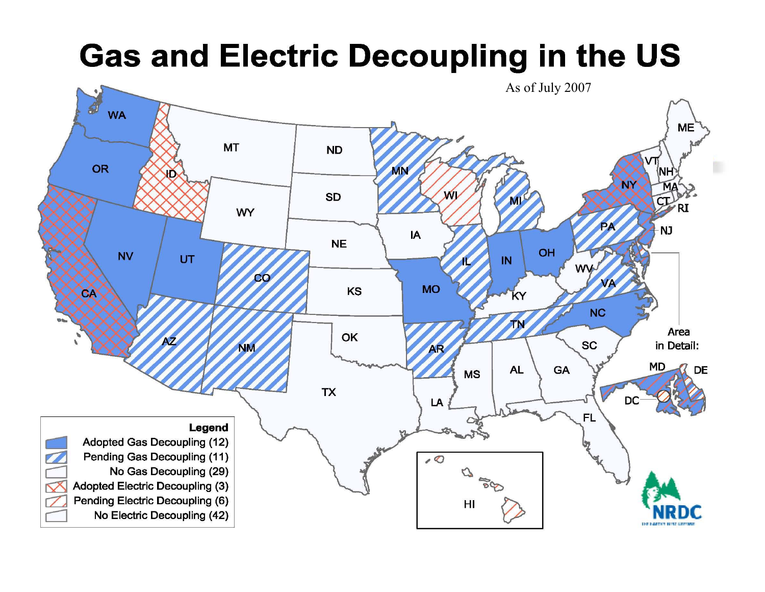### **Gas and Electric Decoupling in the US**

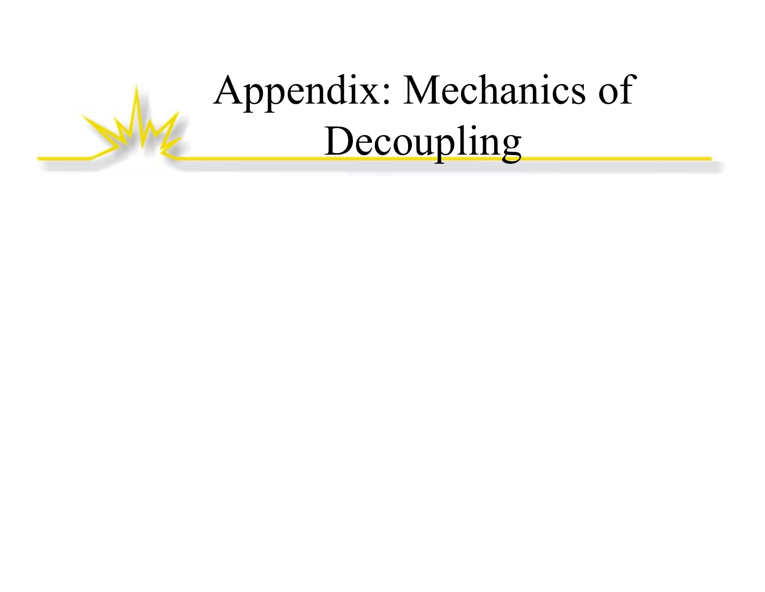### Appendix: Mechanics of Decoupling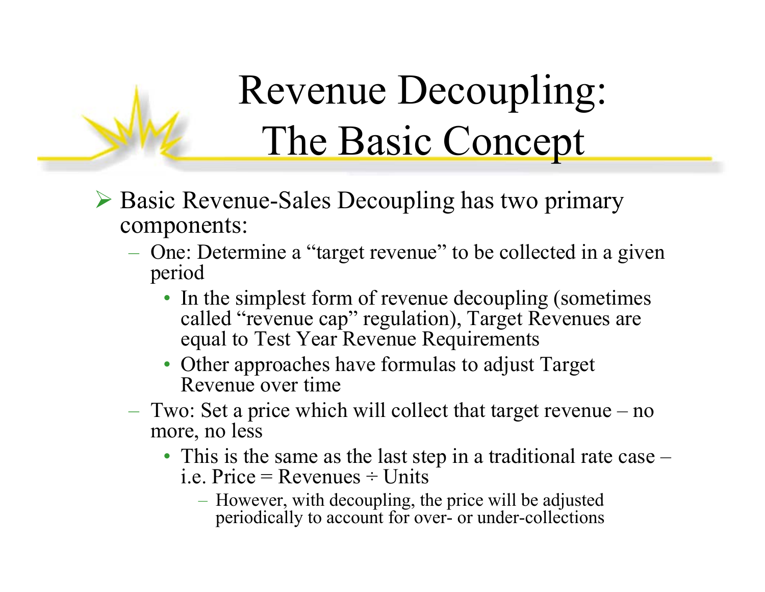## Revenue Decoupling: The Basic Concept

- ¾ Basic Revenue-Sales Decoupling has two primary components:
	- One: Determine a "target revenue" to be collected in a given period
		- In the simplest form of revenue decoupling (sometimes called "revenue cap" regulation), Target Revenues are equal to Test Year Revenue Requirements
		- Other approaches have formulas to adjust Target Revenue over time
	- Two: Set a price which will collect that target revenue no more, no less
		- This is the same as the last step in a traditional rate case i.e. Price  $=$  Revenues  $\div$  Units
			- However, with decoupling, the price will be adjusted periodically to account for over- or under-collections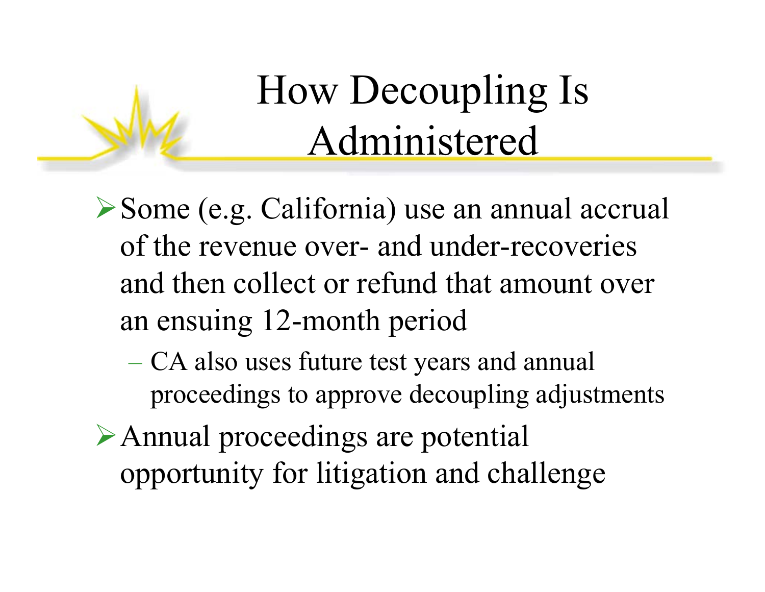### How Decoupling Is Administered

- ¾Some (e.g. California) use an annual accrual of the revenue over- and under-recoveries and then collect or refund that amount over an ensuing 12-month period
	- $-$  CA also uses future test years and annual  $\,$ proceedings to approve decoupling adjustments
- ¾Annual proceedings are potential opportunity for litigation and challenge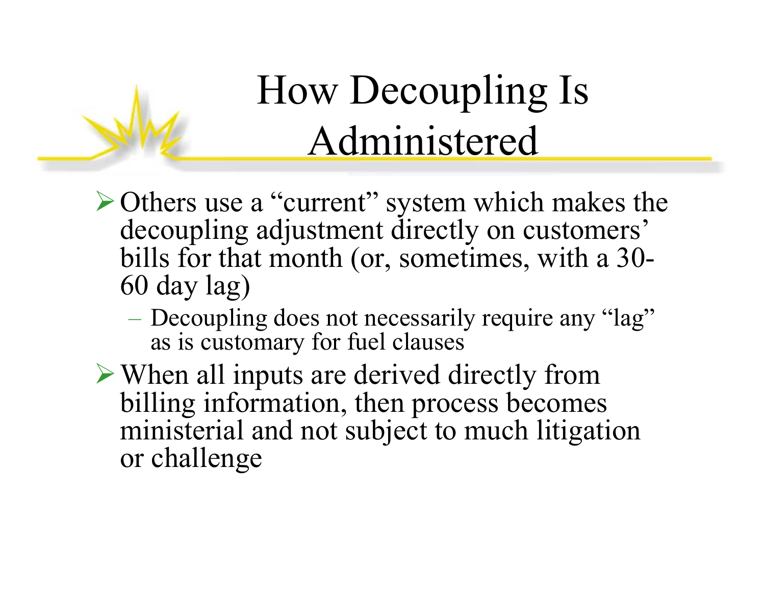## How Decoupling Is Administered

- ¾Others use a "current" system which makes the decoupling adjustment directly on customers' bills for that month (or, sometimes, with a 30- 60 day lag)
	- Decoupling does not necessarily require any "lag" as is customary for fuel clauses
- ¾When all inputs are derived directly from billing information, then process becomes ministerial and not subject to much litigation or challenge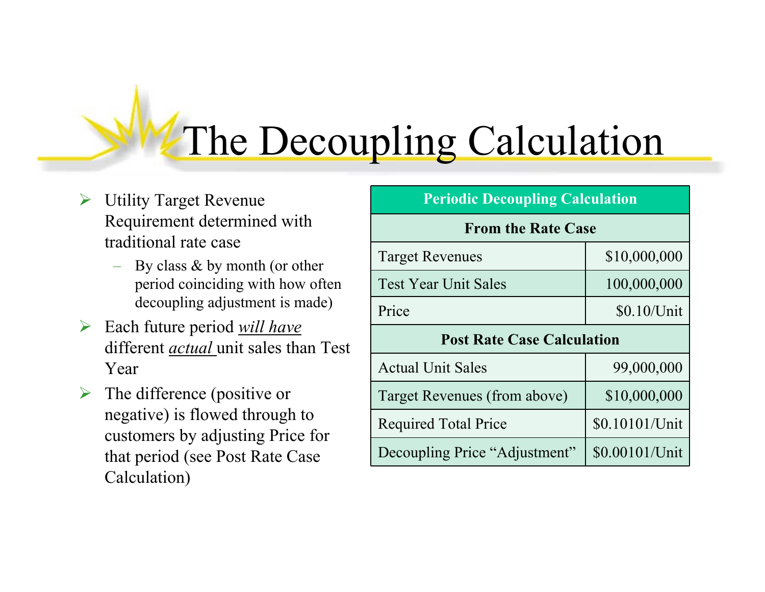### The Decoupling Calculation

- $\triangleright$  Utility Target Revenue Requirement determined with traditional rate case
	- By class & by month (or other period coinciding with how often decoupling adjustment is made)
- ¾ Each future period *will have* different *actual* unit sales than Test Year
- $\triangleright$  The difference (positive or negative) is flowed through to customers by adjusting Price for that period (see Post Rate Case Calculation)

| <b>Periodic Decoupling Calculation</b> |                |  |  |
|----------------------------------------|----------------|--|--|
| <b>From the Rate Case</b>              |                |  |  |
| <b>Target Revenues</b>                 | \$10,000,000   |  |  |
| <b>Test Year Unit Sales</b>            | 100,000,000    |  |  |
| Price                                  | \$0.10/Unit    |  |  |
| <b>Post Rate Case Calculation</b>      |                |  |  |
| <b>Actual Unit Sales</b>               | 99,000,000     |  |  |
| Target Revenues (from above)           | \$10,000,000   |  |  |
| <b>Required Total Price</b>            | \$0.10101/Unit |  |  |
| Decoupling Price "Adjustment"          | \$0.00101/Unit |  |  |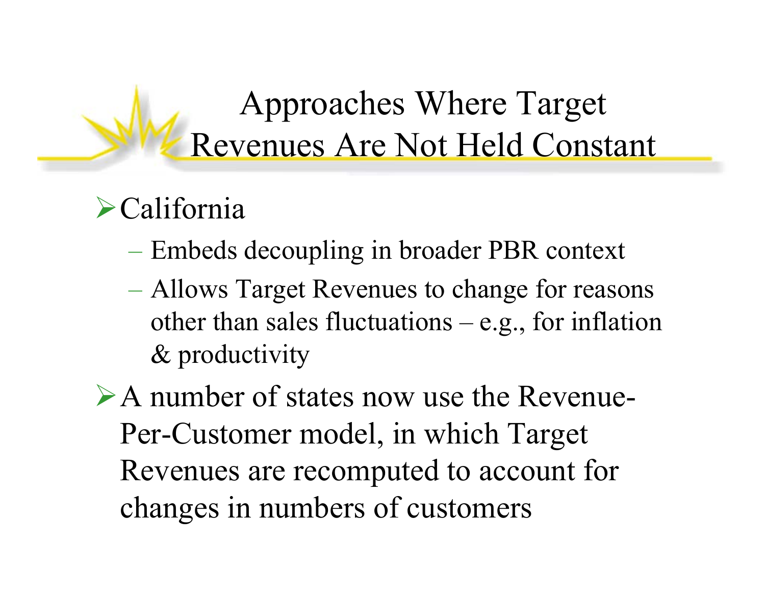### Approaches Where Target Revenues Are Not Held Constant

### $\blacktriangleright$  California

- Embeds decoupling in broader PBR context
- Allows Target Revenues to change for reasons other than sales fluctuations  $-$  e.g., for inflation & productivity
- ¾A number of states now use the Revenue-Per-Customer model, in which Target Revenues are recomputed to account for changes in numbers of customers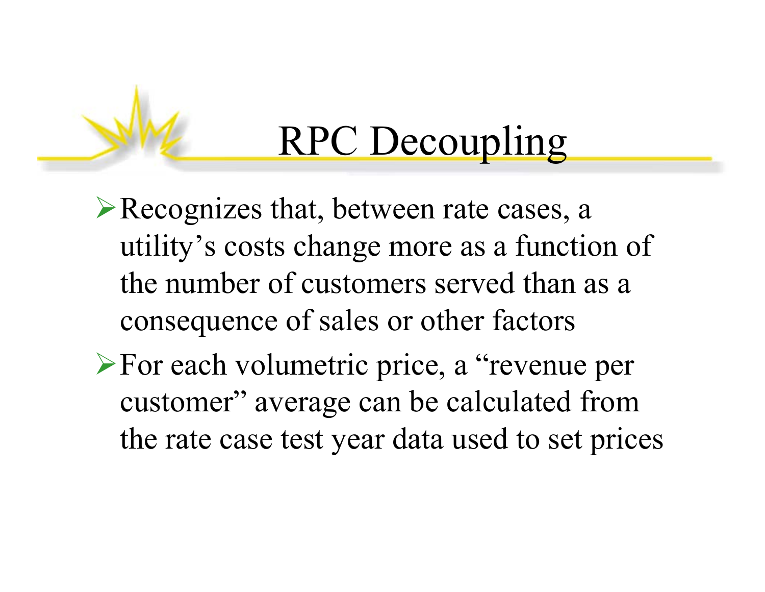### RPC Decoupling

- ¾Recognizes that, between rate cases, a utility's costs change more as a function of the number of customers served than as a consequence of sales or other factors
- ¾For each volumetric price, a "revenue per customer" average can be calculated from the rate case test year data used to set prices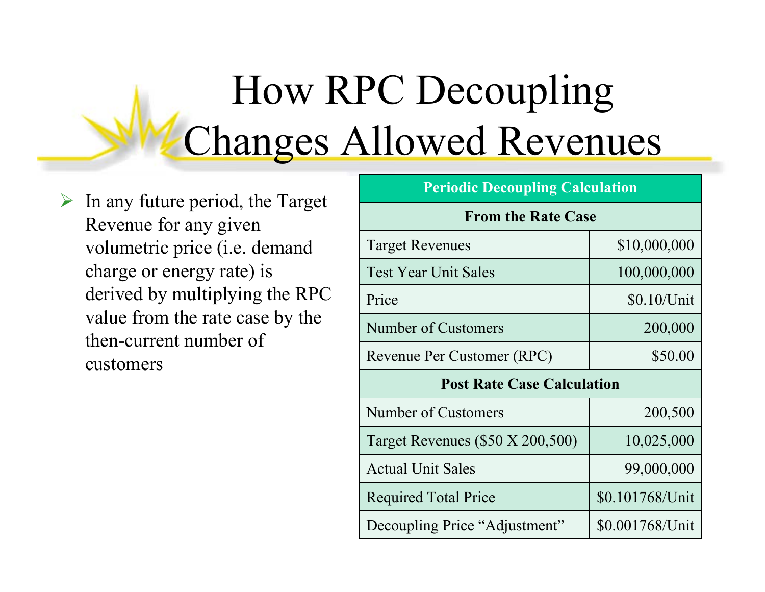## How RPC Decoupling Changes Allowed Revenues

 $\triangleright$  In any future period, the Target Revenue for any given volumetric price (i.e. demand charge or energy rate) is derived by multiplying the RPC value from the rate case by the then-current number of customers

| <b>Periodic Decoupling Calculation</b> |                 |  |  |  |
|----------------------------------------|-----------------|--|--|--|
| <b>From the Rate Case</b>              |                 |  |  |  |
| <b>Target Revenues</b>                 | \$10,000,000    |  |  |  |
| <b>Test Year Unit Sales</b>            | 100,000,000     |  |  |  |
| Price                                  | \$0.10/Unit     |  |  |  |
| <b>Number of Customers</b>             | 200,000         |  |  |  |
| Revenue Per Customer (RPC)             | \$50.00         |  |  |  |
| <b>Post Rate Case Calculation</b>      |                 |  |  |  |
| Number of Customers                    | 200,500         |  |  |  |
| Target Revenues (\$50 X 200,500)       | 10,025,000      |  |  |  |
| <b>Actual Unit Sales</b>               | 99,000,000      |  |  |  |
| <b>Required Total Price</b>            | \$0.101768/Unit |  |  |  |
| Decoupling Price "Adjustment"          | \$0.001768/Unit |  |  |  |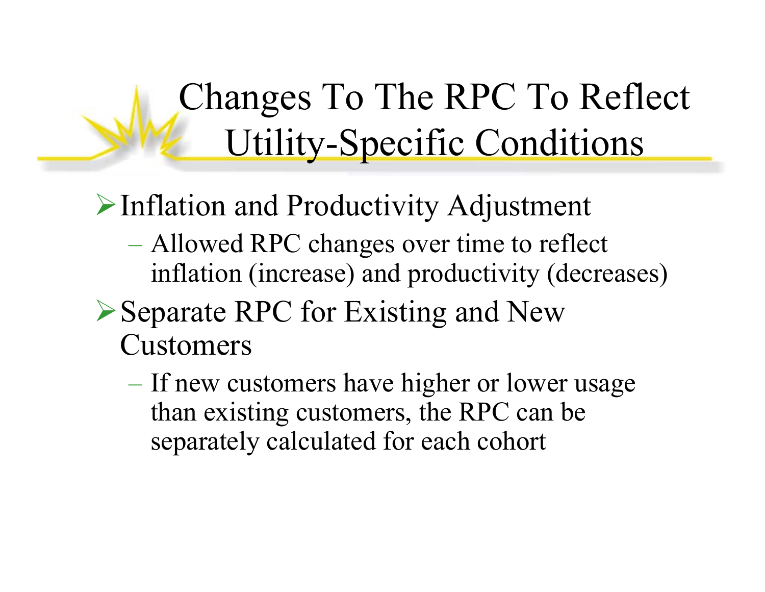Changes To The RPC To Reflect Utility-Specific Conditions

¾Inflation and Productivity Adjustment

- Allowed RPC changes over time to reflect inflation (increase) and productivity (decreases)
- ▶Separate RPC for Existing and New Customers
	- If new customers have higher or lower usage than existing customers, the RPC can be separately calculated for each cohort